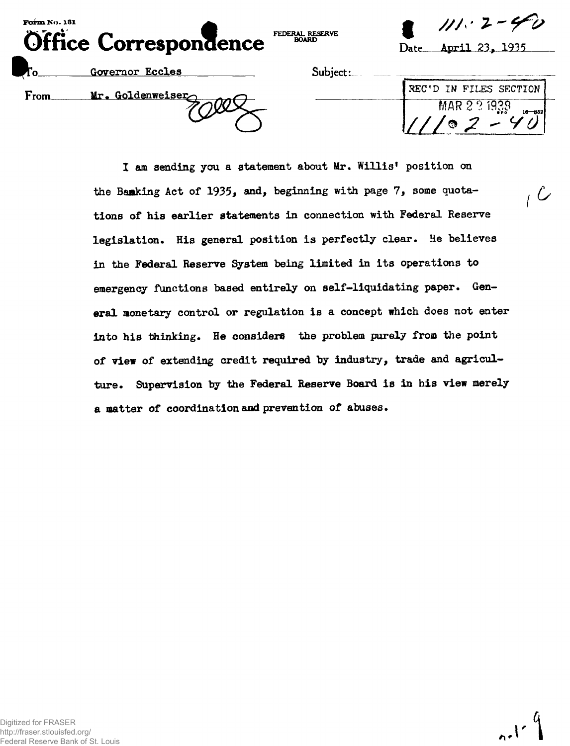| Form No. 131<br>Office Correspondence |                  | FEDERAL RESERVE<br><b>BOARD</b> | $111 \cdot 2 - 40$<br>April 23, 1935<br>$\rm{Date}_-$ |
|---------------------------------------|------------------|---------------------------------|-------------------------------------------------------|
|                                       | Governor Eccles  | Subject:                        |                                                       |
| <b>From</b>                           | Mr. Goldenweiser |                                 | REC'D IN FILES SECTION                                |
|                                       |                  |                                 | MAR 2 3 1938<br>$16 - 852$                            |

**I am sending you a statement about Mr. Willis<sup>1</sup> position on** the Banking Act of 1935, and, beginning with page 7, some quota**tions of his earlier statements in connection with Federal Reserve legislation. His general position is perfectly clear. He believes in the Federal Reserve System being limited in its operations to emergency functions based entirely on self-liquidating paper. General monetary control or regulation is a concept which does not enter into his thinking. He considers the problem purely from the point of view of extending credit required by industry, trade and agriculture. Supervision by the Federal Reserve Board is in his view merely a matter of coordination and prevention of abuses.**

 $n$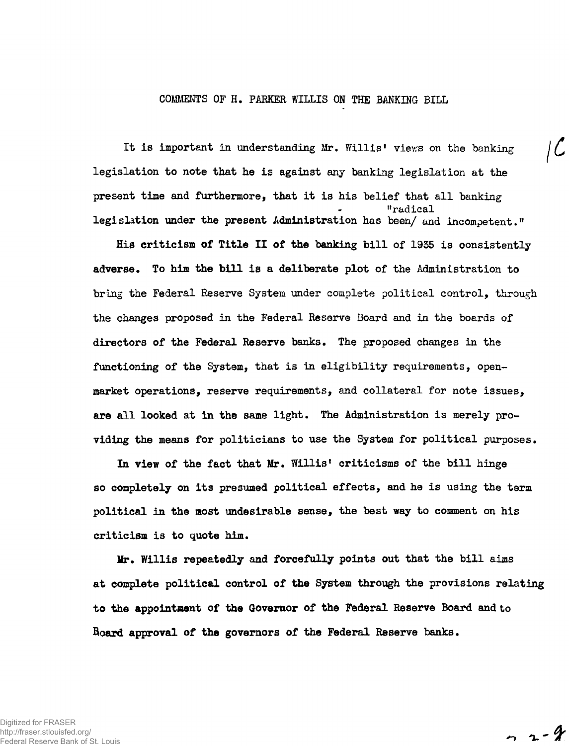## COMMENTS OF H. PARKER WILLIS ON THE BANKING BILL

It is important in understanding Mr. Willis' views on the banking  $\int \mathcal{L}$ legislation to note that he is against any banking legislation at the present time and furthermore, that it is his belief that all banking "radical legislation under the present Administration has been/ and incompetent."

His criticism of Title II of **the** banking bill of 1935 is consistently adverse. To him **the** bill is a deliberate plot of the Administration to bring the Federal Reserve System under complete political control, through the changes proposed in the Federal Reserve Board and in the boards of directors of the Federal Reserve banks. The proposed changes in the functioning of the System, that is in eligibility requirements, openmarket operations, reserve requirements, and collateral for note issues, are all looked at in the same light. The Administration is merely providing the means for politicians to use the System for political purposes.

In view of the fact that Mr. Willis' criticisms of the bill hinge so completely on its presumed political effects, and he is using the term political in the most undesirable sense, the best way to comment on his criticism is to quote him.

Mr. Willis repeatedly and forcefully points out that the bill aims at complete political control of **the** System through the provisions relating **to the appointment** of **the Governor of the Federal** Reserve Board and to Board **approval of the governors of the** Federal Reserve banks.

$$
\sim 2 - 2
$$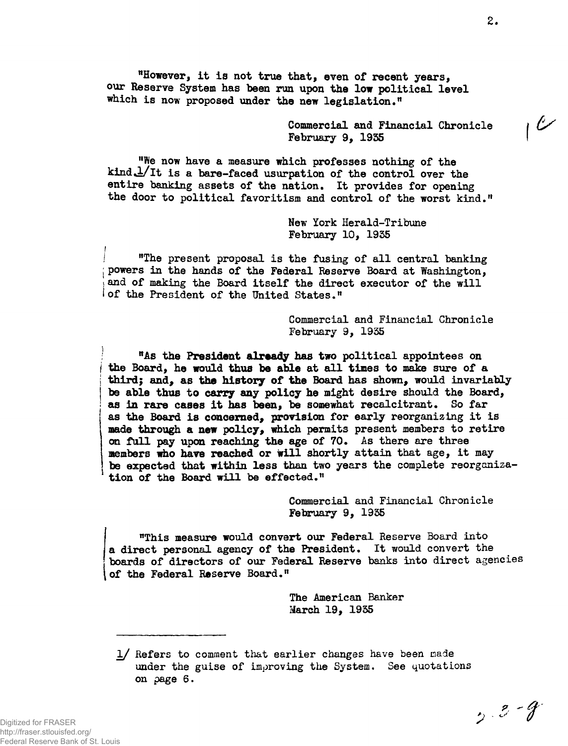**"However, it is not true that, even of recent years, our Reserve System has been run upon the low political level which is now proposed under the new legislation."**

> **Commercial and Financial Chronicle February 9, 1935**

**"We now have a measure which professes nothing of the** kind  $\frac{1}{1}$ t is a bare-faced usurpation of the control over the **entire banking assets of the nation. It provides for opening the door to political favoritism and control of the worst kind."**

> **New York Herald-Tribune February 10, 1955**

**I "The present proposal is the fusing of all central banking j powers in the hands of the Federal Reserve Board at Washington,** and of making the Board itself the direct executor of the will **I of the President of the United States."**

> **Commercial and Financial Chronicle February 9, 1935**

**; "As the President already has two political appointees on I the Board, he would thus be able at all times to make sure of a | third; and, as the history of the Board has shown, would invariably be able thus to carry any policy he might desire should the Board, as in rare cases it has been, be somewhat recalcitrant. So far as the Board is concerned, provision for early reorganizing it is made through a new policy, which permits present members to retire on full pay upon reaching the age of 70. As there are three Members who have reached or will shortly attain that age, it may be expected that within less than two years the complete reorganization of the Board will be effected."**

> **Commercial and Financial Chronicle February 9, 1935**

**"This measure would convert our Federal Reserve Board into a direct personal agency of the President. It would convert the boards of directors of our Federal Reserve banks into direct agencies of the Federal Reserve Board•"**

> **The American Banker March 19, 1935**

**1/ Refers to comment that earlier changes have been made under the guise of improving the System. See quotations on page 6.**

i

 $\epsilon$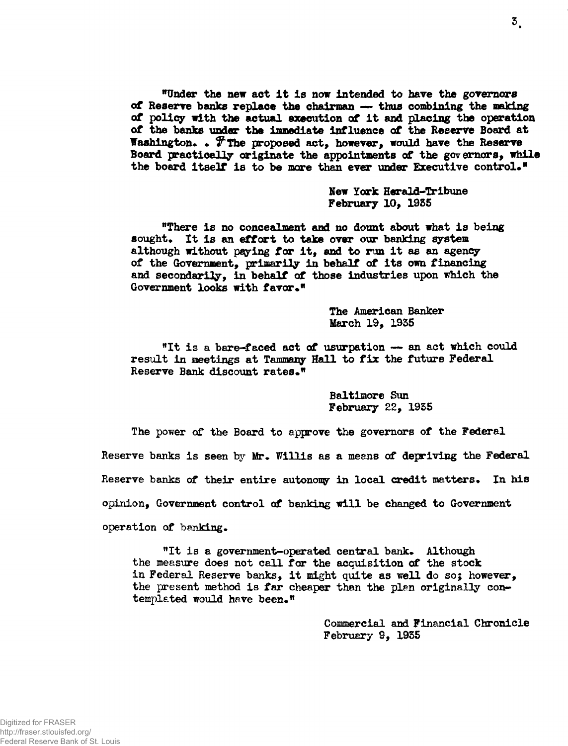**"Under the new act it is now intended to have the governors of Reserve banks replace the chairman — thus combining the making of policy with the actual execution of it and placing the operation of the banks under the immediate Influence of the Reserve Board at** Washington. . *T* **The proposed act, however, would have the Reserve Board practically originate the appointments of the governors, while the board itself is to be mare than ever under Executive control."**

> **New York Herald-Tribune February 10, 1935**

**"There is no concealment and no dount about what is being** sought. It is an effort to take over our banking system **although without paying for it, and to run it as an agency of the Government, primarily in behalf of its own financing and secondarily, in behalf of those industries upon which the** Government looks with favor."

> **The American Banker March 19, 1935**

**"It is a bare-faced act of usurpation — an act which could result in meetings at Tammany Hall to fix the future Federal** Reserve Bank discount rates.<sup>"</sup>

> **Baltimore Sun February 22, 1935**

**The power of the Board to approve the governors of the Federal** Reserve banks is seen by Mr. Willis as a means of depriving the Federal Reserve banks of their entire autonomy in local credit matters. In his **opinion, Government control of banking will be changed to Government operation of banking.**

"It is a government-operated central bank. Although **the measure does not call for the acquisition of the stock in Federal Reserve banks, it might quite as well do so; however, the present method is far cheaper than the plan originally con**templated would have been."

> **Commercial and Financial Chronicle February 9, 1935**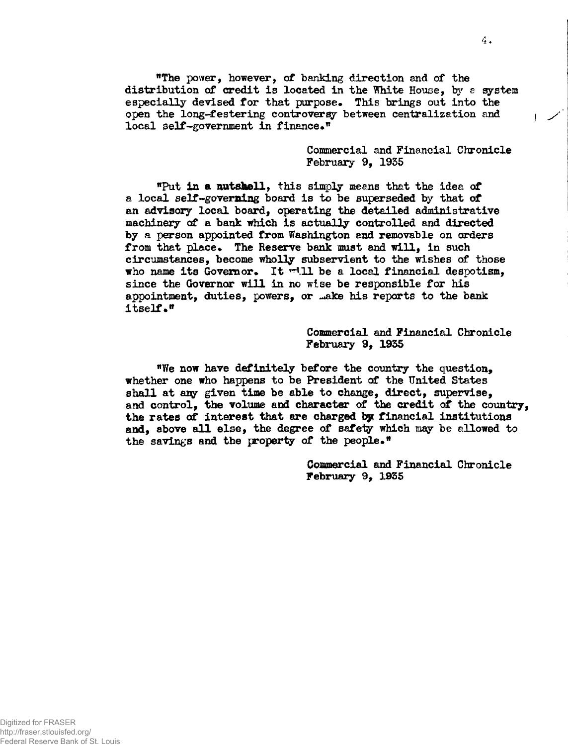**"The power, however, of banking direction and of the distribution of credit is located in the White House, by e system especially devised for that purpose. This brings out into the open the long-festering controversy between centralization and local self-government in finance."**

> **Commercial and Financial Chronicle February 9, 1955**

**<sup>n</sup>Put in a nutshell, this simply means that the idea of a local self-governing board is to be superseded by that of an advisory local board, operating the detailed administrative machinery of a bank which is actually controlled and directed by a person appointed from Washington and removable on orders** from that place. The Reserve bank must and will, in such **circumstances, become wholly subservient to the wishes of those who name its Governor\* It ^.11 be a local financial despotism, since the Governor will in no wise be responsible for his appointment, duties, powers, or ^ake his reports to the bank itself."**

> **Commercial and Financial Chronicle February 9, 1955**

**<sup>n</sup>We now have definitely before the country the question, whether one who happens to be President of the United States shall at any given time be able to change, direct, supervise, and control, the volume and character of the credit of the country, the rates of interest that are charged by financial institutions and, above all else, the degree of safety which may be allowed to the savings and the property of the people•"**

> **Commercial and Financial Chronicle February 9, 1955**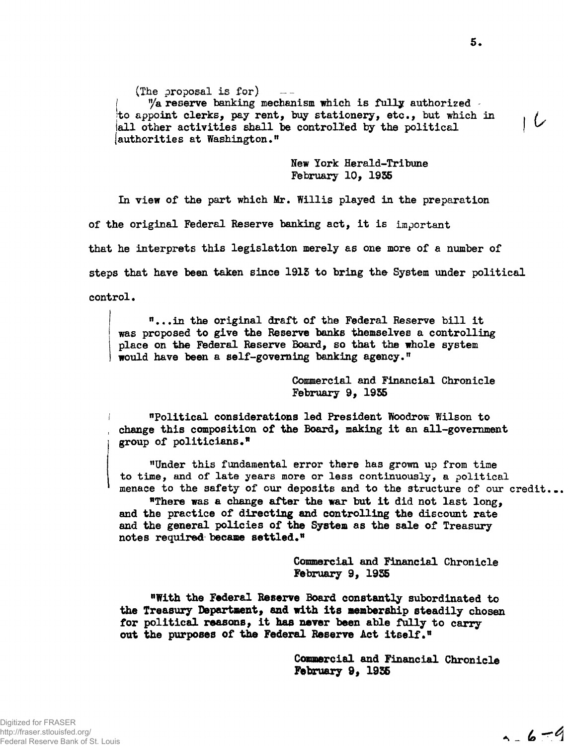(The proposal is  $for$ )

"/a reserve banking mechanism which is fully authorized jto appoint clerks, pay rent, buy stationery, etc., but which in . iall other activities shall be controlled by the political | (authorities at Washington."

> New York Herald-Tribune February 10, 1935

In view of the part which Mr. Willis played in the preparation of the original Federal Reserve banking act, it is important that he interprets this legislation merely as one more of a number of steps that have been taken since 1915 to bring the System under political control.

"...in the original draft of the Federal Reserve bill it was proposed to give the Reserve banks themselves a controlling place on the Federal Reserve Board, so that the whole system would have been a self-governing banking agency."

> Commercial and Financial Chronicle February 9, 1955

"Political considerations led President Woodrow Wilson to change this composition of **the** Board, making it an all-government group of politicians•"

"Under this fundamental error there has grown up from time to time, and of late years more or less continuously, a political menace to the safety of our deposits and to the structure of our credit...

"There was a change after the war but it did not last long, and the practice of directing **and** controlling the discount rate and the general policies of **the System** as the sale of Treasury notes required became settled."

> Commercial and Financial Chronicle **February 9, 1955**

**"With the Federal Reserve** Board **constantly** subordinated to **the** Treasury **Department, and with its membership steadily chosen for political reasons, it has never been able fully to carry out the purposes of the Federal Reserve Act itself."**

> **Commercial and Financial Chronicle February 9, 1935**

 $1 - 6 - 9$ 

سرا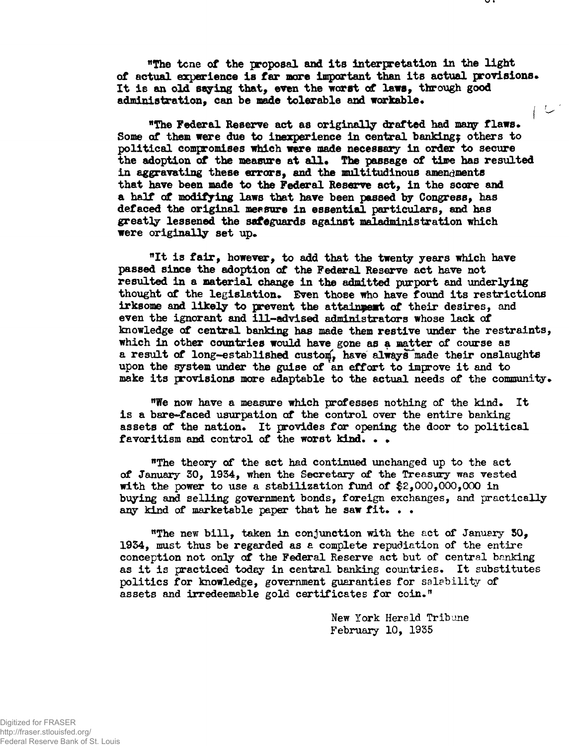**"The tcne of the proposal and its interpretation in the light of actual experience is far more important than its actual provisions\* It is an old saying that, even the worst of laws, through good administration, can be made tolerable and workable\* i -**

**"The Federal Reserve act as originally drafted had many flaws\* Some of them were due to inexperience in central banking? others to political compromises which were made necessary in order to secure the adoption of the measure at all\* The passage of time has resulted** in aggravating these errors, and the multitudinous amendments that have been made to the Federal Reserve act, in the score and a half of modifying laws that have been passed by Congress, has defaced the original measure in essential particulars, and has **greatly lessened the safeguards against maladministration which were originally set up.** 

"It is fair, however, to add that the twenty years which have **passed since the adoption of the Federal Reserve act have not resulted in a material change in the admitted purport and underlying thought of the legislation\* Even those who have found its restrictions irksome and likely to prevent the attainment of their desires, and even the ignorant and ill-advised administrators whose lack of knowledge of central banking has made them restive under the restraints, which in other countries would have gone as a matter of course as a result of long-established custom', have always^made their onslaughts upon the system under the guise of an effort to improve it and to make its provisions more adaptable to the actual needs of the community.**

**"We now have a measure which professes nothing of the kind. It is a bare-faced usurpation of the control over the entire banking** assets of the nation. It provides for opening the door to political **favoritism and control of the worst kind. • \***

**"The theory of the act had continued unchanged up to the act of January 50, 1934, when the Secretary of the Treasury was vested with the power to use a stabilization fund of \$2,000,000,000 in buying and selling government bonds, foreign exchanges, and practically any kind of marketable paper that he saw fit. . •**

**"The new bill, taken in conjunction with the act of January 50, 1954, must thus be regarded as a complete repudiation of the entire conception not only of the Federal Reserve act but of central banking as it is practiced today in central banking countries. It substitutes politics for knowledge, government guaranties for salability of assets and irredeemable gold certificates for coin."**

> **New York Herald Tribune February 10, 1935**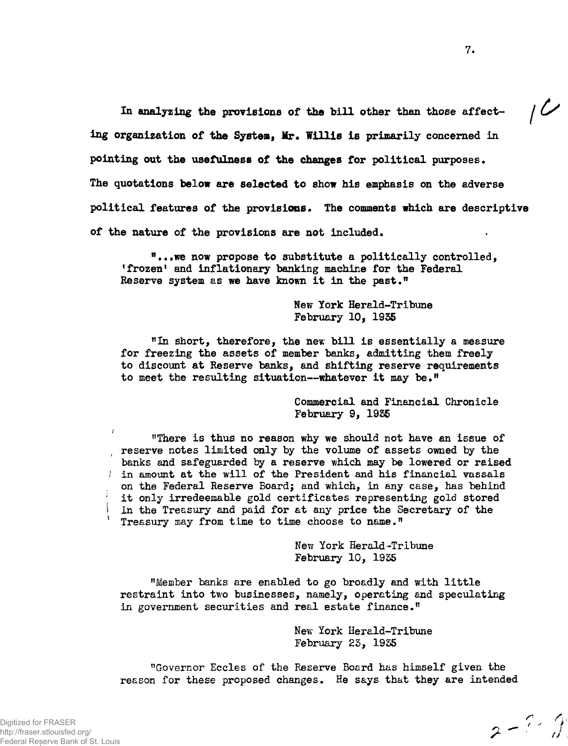In analyzing the provisions of the bill other than those affect-  $/$ **ing organization of the System, Mr. Willis is primarily concerned in pointing out the usefulness of the changes for** political purposes. The quotations **below are selected to show** his emphasis on the adverse political features of the provisions. The comments which are descriptive of the nature of the provisions **are not** included.

<sup>n</sup>...we now propose to substitute **a** politically controlled, 'frozen' and inflationary banking machine for the Federal Reserve system as **we** have known it in the past."

> New York Herald-Tribune February 10, 1955

"In short, therefore, the nev; bill is essentially a measure for freezing the assets of member banks, admitting them freely to discount at Reserve banks, and shifting reserve requirements to meet the resulting situation—whatever it may be."

> Commercial and Financial Chronicle February 9, 1955

"There is thus no reason why we should not have an issue of reserve notes limited only by the volume of assets owned by the banks and safeguarded by a reserve which may be lowered or raised i in amount at the will of the President and his financial vassals on the Federal Reserve Board; and which, in any case, has behind it only irredeemable gold certificates representing gold stored 1 in the Treasury and paid for at any price the Secretary of the Treasury may from time to time choose to name."

> New York Herald-Tribune February 10, 1955

"Member banks are enabled to go broadly and with little restraint into two businesses, namely, operating and speculating in government securities and real estate finance."

> Nev; York Herald-Tribune February 25, 1955

"Governor Eccles of the Reserve Board has himself given the reason for these proposed changes. He says that they are intended

 $2 - 2 - 3$  $\mathbf{z}$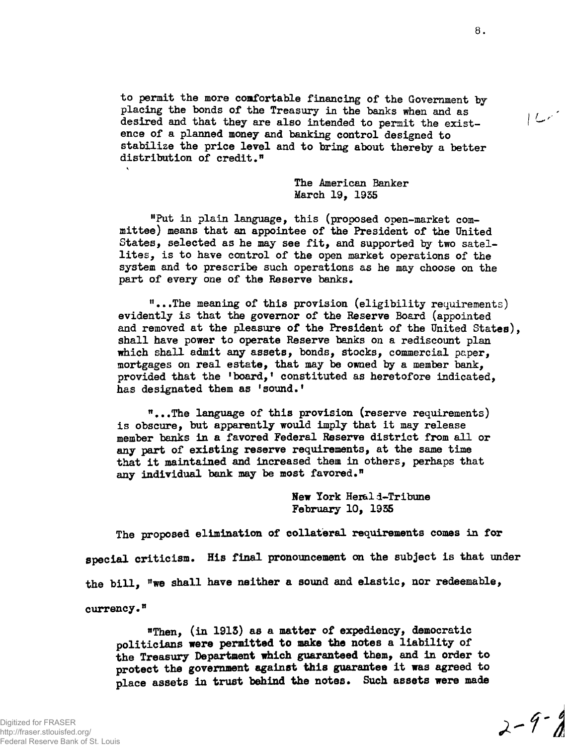**to permit the more comfortable financing of the Government by placing the bonds of the Treasury in the banks when and as desired and that they are also intended to permit the existence of a planned money and banking control designed to stabilize the price level and to bring about thereby a better distribution of credit."**

> **The American Banker March 19, 1935**

**"Put in plain language, this (proposed open-market committee) means that an appointee of the President of the United States, selected as he may see fit, and supported by two satellites, is to have control of the open market operations of the system and to prescribe such operations as he may choose on the part of every one of the Reserve banks.**

**"...The meaning of this provision (eligibility requirements) evidently is that the governor of the Reserve Board (appointed and removed at the pleasure of the President of the United States), shall have power to operate Reserve banks on a rediscount plan which shall admit any assets, bonds, stocks, commercial paper, mortgages on real estate, that may be owned by a member bank, provided that the 'board,' constituted as heretofore indicated, has designated them as 'sound.'**

**"...The language of this provision (reserve requirements) is obscure, but apparently would imply that it may release member banks in a favored Federal Reserve district from all or any part of existing reserve requirements, at the same time that it maintained and increased them in others, perhaps that any individual bank may be most favored."**

> **New York Heral i-Tribune February 10, 1935**

**The proposed elimination of collateral requirements comes in for special criticism. His final pronouncement on the subject is that under the bill, "we shall have neither a sound and elastic, nor redeemable, currency."**

**"Then, (in 1913) as a matter of expediency, democratic politicians were permitted to make the notes a liability of the Treasury Department which guaranteed them, and in order to protect the government against this guarantee it was agreed to place assets in trust behind the notes. Such assets were made**

 $2 - 9 - 8$ 

 $|Lr|$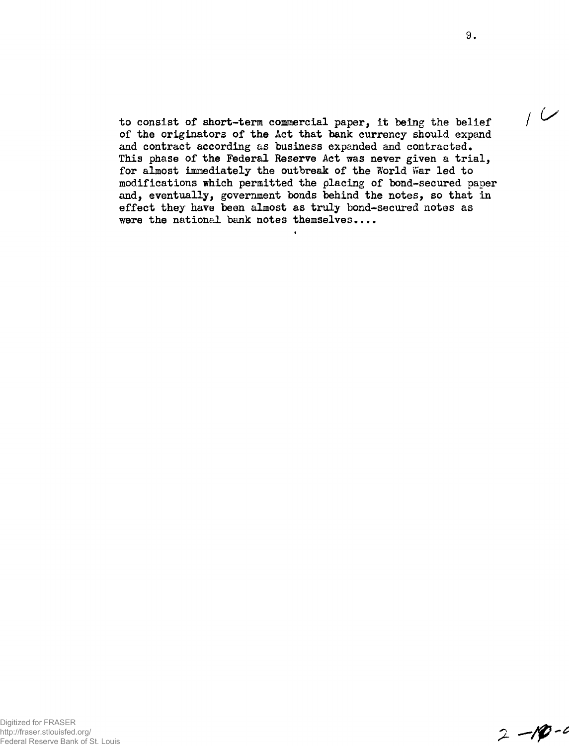to consist of short-term commercial paper, it being the belief of the originators of the Act that bank currency should expand and contract according as business expanded and contracted. This phase of the Federal Reserve Act was never given a trial, for almost immediately the outbreak of the World War led to modifications which permitted the placing of bond-secured paper and, eventually, government bonds behind the notes, so that in effect they have been almost as truly bond-secured notes as were the national bank notes themselves....

 $2 - 10 - 4$ 

 $1$